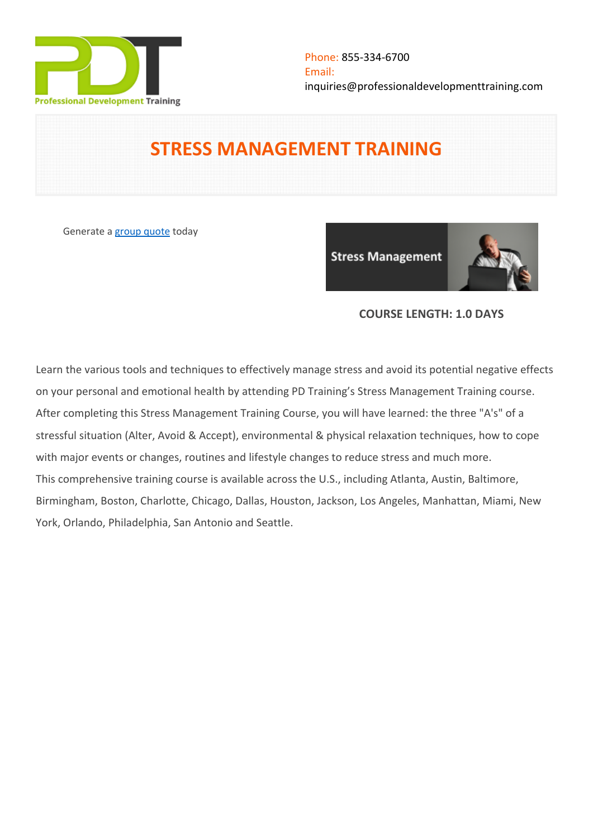

# **STRESS MANAGEMENT TRAINING**

Generate a [group quote](https://professionaldevelopmenttraining.com/inhouse-training-quote?cse=PDT0024) today

**Stress Management** 



## **COURSE LENGTH: 1.0 DAYS**

Learn the various tools and techniques to effectively manage stress and avoid its potential negative effects on your personal and emotional health by attending PD Training's Stress Management Training course. After completing this Stress Management Training Course, you will have learned: the three "A's" of a stressful situation (Alter, Avoid & Accept), environmental & physical relaxation techniques, how to cope with major events or changes, routines and lifestyle changes to reduce stress and much more. This comprehensive training course is available across the U.S., including Atlanta, Austin, Baltimore, Birmingham, Boston, Charlotte, Chicago, Dallas, Houston, Jackson, Los Angeles, Manhattan, Miami, New York, Orlando, Philadelphia, San Antonio and Seattle.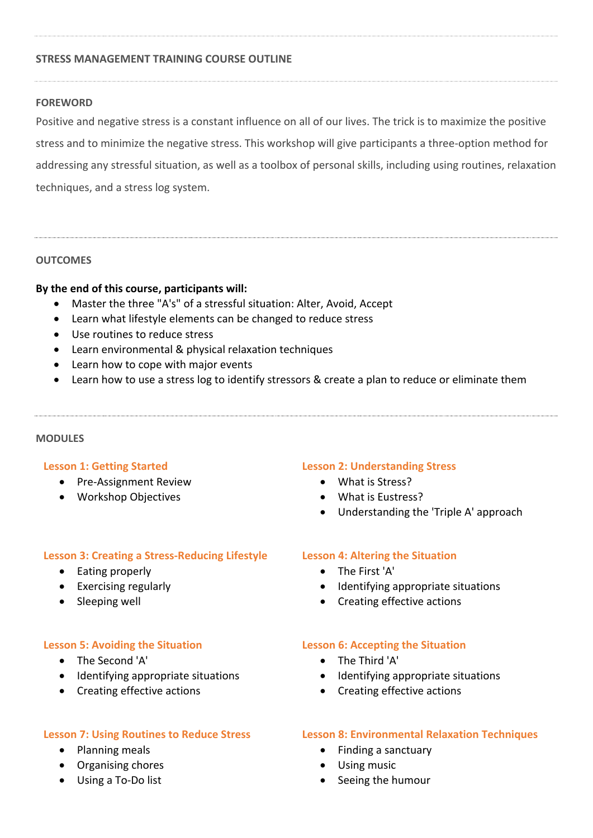## **STRESS MANAGEMENT TRAINING COURSE OUTLINE**

#### **FOREWORD**

Positive and negative stress is a constant influence on all of our lives. The trick is to maximize the positive stress and to minimize the negative stress. This workshop will give participants a three-option method for addressing any stressful situation, as well as a toolbox of personal skills, including using routines, relaxation techniques, and a stress log system.

## **OUTCOMES**

## **By the end of this course, participants will:**

- Master the three "A's" of a stressful situation: Alter, Avoid, Accept
- Learn what lifestyle elements can be changed to reduce stress
- Use routines to reduce stress
- Learn environmental & physical relaxation techniques
- Learn how to cope with major events
- Learn how to use a stress log to identify stressors & create a plan to reduce or eliminate them

#### **MODULES**

#### **Lesson 1: Getting Started**

- Pre-Assignment Review
- Workshop Objectives

#### **Lesson 3: Creating a Stress-Reducing Lifestyle**

- Eating properly
- Exercising regularly
- Sleeping well

## **Lesson 5: Avoiding the Situation**

- The Second 'A'
- Identifying appropriate situations
- Creating effective actions

#### **Lesson 7: Using Routines to Reduce Stress**

- Planning meals
- Organising chores
- Using a To-Do list

#### **Lesson 2: Understanding Stress**

- What is Stress?
- What is Eustress?
- Understanding the 'Triple A' approach

## **Lesson 4: Altering the Situation**

- The First 'A'
- Identifying appropriate situations
- Creating effective actions

#### **Lesson 6: Accepting the Situation**

- The Third 'A'
- Identifying appropriate situations
- Creating effective actions

## **Lesson 8: Environmental Relaxation Techniques**

- Finding a sanctuary
- Using music
- Seeing the humour